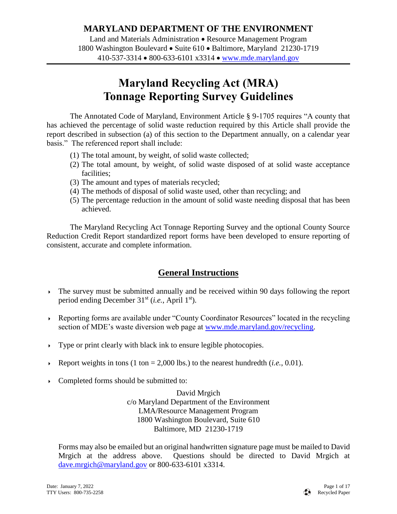## **MARYLAND DEPARTMENT OF THE ENVIRONMENT**

Land and Materials Administration • Resource Management Program 1800 Washington Boulevard • Suite 610 • Baltimore, Maryland 21230-1719 410-537-3314 800-633-6101 x3314 [www.mde.maryland.gov](http://www.mde.maryland.gov/)

# **Maryland Recycling Act (MRA) Tonnage Reporting Survey Guidelines**

The Annotated Code of Maryland, Environment Article § 9-1705 requires "A county that has achieved the percentage of solid waste reduction required by this Article shall provide the report described in subsection (a) of this section to the Department annually, on a calendar year basis." The referenced report shall include:

- (1) The total amount, by weight, of solid waste collected;
- (2) The total amount, by weight, of solid waste disposed of at solid waste acceptance facilities;
- (3) The amount and types of materials recycled;
- (4) The methods of disposal of solid waste used, other than recycling; and
- (5) The percentage reduction in the amount of solid waste needing disposal that has been achieved.

The Maryland Recycling Act Tonnage Reporting Survey and the optional County Source Reduction Credit Report standardized report forms have been developed to ensure reporting of consistent, accurate and complete information.

## **General Instructions**

- The survey must be submitted annually and be received within 90 days following the report period ending December 31st (*i.e.*, April 1st).
- Reporting forms are available under "County Coordinator Resources" located in the recycling section of MDE's waste diversion web page at [www.mde.maryland.gov/recycling.](http://www.mde.maryland.gov/recycling)
- Type or print clearly with black ink to ensure legible photocopies.
- Report weights in tons  $(1 \text{ ton} = 2,000 \text{ lbs.})$  to the nearest hundredth  $(i.e., 0.01)$ .
- Completed forms should be submitted to:

David Mrgich c/o Maryland Department of the Environment LMA/Resource Management Program 1800 Washington Boulevard, Suite 610 Baltimore, MD 21230-1719

Forms may also be emailed but an original handwritten signature page must be mailed to David Mrgich at the address above. Questions should be directed to David Mrgich at [dave.mrgich@maryland.gov](mailto:dave.mrgich@maryland.gov) or 800-633-6101 x3314.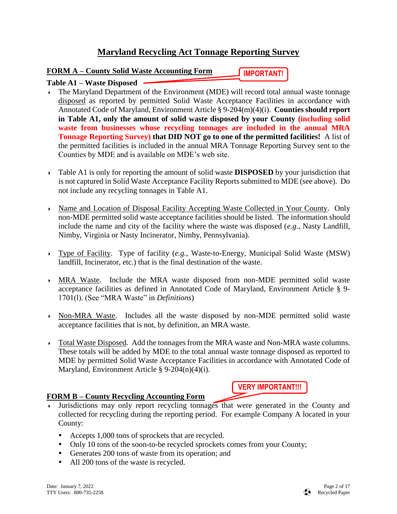## **Maryland Recycling Act Tonnage Reporting Survey**

### **FORM A – County Solid Waste Accounting Form**

**IMPORTANT!**

### **Table A1 – Waste Disposed**

- The Maryland Department of the Environment (MDE) will record total annual waste tonnage disposed as reported by permitted Solid Waste Acceptance Facilities in accordance with Annotated Code of Maryland, Environment Article § 9-204(m)(4)(i). **Counties should report in Table A1, only the amount of solid waste disposed by your County (including solid waste from businesses whose recycling tonnages are included in the annual MRA Tonnage Reporting Survey) that DID NOT go to one of the permitted facilities!** A list of the permitted facilities is included in the annual MRA Tonnage Reporting Survey sent to the Counties by MDE and is available on MDE's web site.
- Table A1 is only for reporting the amount of solid waste **DISPOSED** by your jurisdiction that is not captured in Solid Waste Acceptance Facility Reports submitted to MDE (see above). Do not include any recycling tonnages in Table A1.
- Name and Location of Disposal Facility Accepting Waste Collected in Your County. Only non-MDE permitted solid waste acceptance facilities should be listed. The information should include the name and city of the facility where the waste was disposed (*e.g.*, Nasty Landfill, Nimby, Virginia or Nasty Incinerator, Nimby, Pennsylvania).
- Type of Facility. Type of facility (*e.g.*, Waste-to-Energy, Municipal Solid Waste (MSW) landfill, Incinerator, etc.) that is the final destination of the waste.
- MRA Waste. Include the MRA waste disposed from non-MDE permitted solid waste acceptance facilities as defined in Annotated Code of Maryland, Environment Article § 9- 1701(l). (See "MRA Waste" in *Definitions*)
- Non-MRA Waste. Includes all the waste disposed by non-MDE permitted solid waste acceptance facilities that is not, by definition, an MRA waste.
- Total Waste Disposed. Add the tonnages from the MRA waste and Non-MRA waste columns. These totals will be added by MDE to the total annual waste tonnage disposed as reported to MDE by permitted Solid Waste Acceptance Facilities in accordance with Annotated Code of Maryland, Environment Article § 9-204(n)(4)(i).

### **FORM B – County Recycling Accounting Form**

**VERY IMPORTANT!!!**

- Jurisdictions may only report recycling tonnages that were generated in the County and collected for recycling during the reporting period. For example Company A located in your County:
	- Accepts 1,000 tons of sprockets that are recycled.
	- Only 10 tons of the soon-to-be recycled sprockets comes from your County;
	- Generates 200 tons of waste from its operation; and
	- All 200 tons of the waste is recycled.

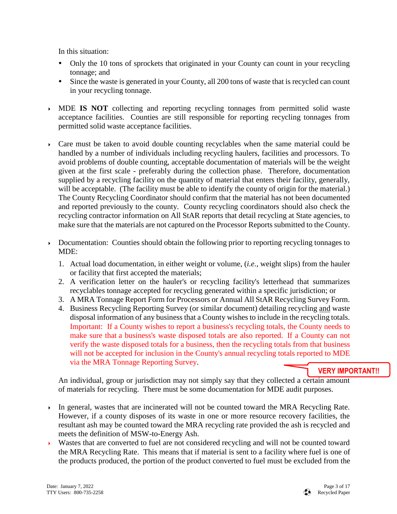In this situation:

- Only the 10 tons of sprockets that originated in your County can count in your recycling tonnage; and
- Since the waste is generated in your County, all 200 tons of waste that is recycled can count in your recycling tonnage.
- MDE **IS NOT** collecting and reporting recycling tonnages from permitted solid waste acceptance facilities. Counties are still responsible for reporting recycling tonnages from permitted solid waste acceptance facilities.
- $\triangleright$  Care must be taken to avoid double counting recyclables when the same material could be handled by a number of individuals including recycling haulers, facilities and processors. To avoid problems of double counting, acceptable documentation of materials will be the weight given at the first scale - preferably during the collection phase. Therefore, documentation supplied by a recycling facility on the quantity of material that enters their facility, generally, will be acceptable. (The facility must be able to identify the county of origin for the material.) The County Recycling Coordinator should confirm that the material has not been documented and reported previously to the county. County recycling coordinators should also check the recycling contractor information on All StAR reports that detail recycling at State agencies, to make sure that the materials are not captured on the Processor Reports submitted to the County.
- Documentation: Counties should obtain the following prior to reporting recycling tonnages to MDE:
	- 1. Actual load documentation, in either weight or volume, (*i.e.*, weight slips) from the hauler or facility that first accepted the materials;
	- 2. A verification letter on the hauler's or recycling facility's letterhead that summarizes recyclables tonnage accepted for recycling generated within a specific jurisdiction; or
	- 3. A MRA Tonnage Report Form for Processors or Annual All StAR Recycling Survey Form.
	- 4. Business Recycling Reporting Survey (or similar document) detailing recycling and waste disposal information of any business that a County wishes to include in the recycling totals. Important: If a County wishes to report a business's recycling totals, the County needs to make sure that a business's waste disposed totals are also reported. If a County can not verify the waste disposed totals for a business, then the recycling totals from that business will not be accepted for inclusion in the County's annual recycling totals reported to MDE via the MRA Tonnage Reporting Survey.

### **VERY IMPORTANT!!**

An individual, group or jurisdiction may not simply say that they collected a certain amount of materials for recycling. There must be some documentation for MDE audit purposes.

- In general, wastes that are incinerated will not be counted toward the MRA Recycling Rate. However, if a county disposes of its waste in one or more resource recovery facilities, the resultant ash may be counted toward the MRA recycling rate provided the ash is recycled and meets the definition of MSW-to-Energy Ash.
- Wastes that are converted to fuel are not considered recycling and will not be counted toward the MRA Recycling Rate. This means that if material is sent to a facility where fuel is one of the products produced, the portion of the product converted to fuel must be excluded from the

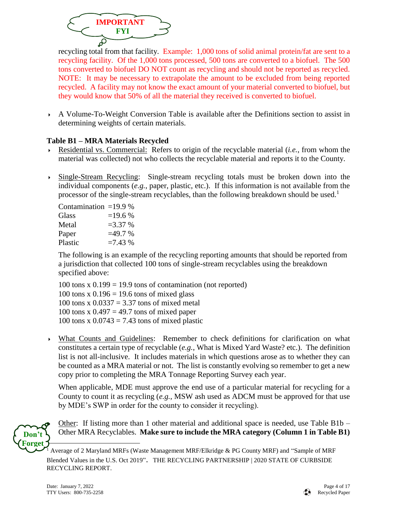

recycling total from that facility. Example: 1,000 tons of solid animal protein/fat are sent to a recycling facility. Of the 1,000 tons processed, 500 tons are converted to a biofuel. The 500 tons converted to biofuel DO NOT count as recycling and should not be reported as recycled. NOTE: It may be necessary to extrapolate the amount to be excluded from being reported recycled. A facility may not know the exact amount of your material converted to biofuel, but they would know that 50% of all the material they received is converted to biofuel.

 A Volume-To-Weight Conversion Table is available after the Definitions section to assist in determining weights of certain materials.

## **Table B1 – MRA Materials Recycled**

- Residential vs. Commercial: Refers to origin of the recyclable material (*i.e.*, from whom the material was collected) not who collects the recyclable material and reports it to the County.
- Single-Stream Recycling: Single-stream recycling totals must be broken down into the individual components (*e.g.*, paper, plastic, etc.). If this information is not available from the processor of the single-stream recyclables, than the following breakdown should be used.<sup>1</sup>

| Contamination = $19.9\%$ |           |
|--------------------------|-----------|
| Glass                    | $=19.6%$  |
| Metal                    | $=3.37\%$ |
| Paper                    | $=49.7%$  |
| Plastic                  | $=7.43%$  |

The following is an example of the recycling reporting amounts that should be reported from a jurisdiction that collected 100 tons of single-stream recyclables using the breakdown specified above:

100 tons  $x$  0.199 = 19.9 tons of contamination (not reported) 100 tons x  $0.196 = 19.6$  tons of mixed glass 100 tons x  $0.0337 = 3.37$  tons of mixed metal 100 tons x  $0.497 = 49.7$  tons of mixed paper 100 tons x  $0.0743 = 7.43$  tons of mixed plastic

 What Counts and Guidelines: Remember to check definitions for clarification on what constitutes a certain type of recyclable (*e.g.*, What is Mixed Yard Waste? etc.). The definition list is not all-inclusive. It includes materials in which questions arose as to whether they can be counted as a MRA material or not. The list is constantly evolving so remember to get a new copy prior to completing the MRA Tonnage Reporting Survey each year.

When applicable, MDE must approve the end use of a particular material for recycling for a County to count it as recycling (*e.g.*, MSW ash used as ADCM must be approved for that use by MDE's SWP in order for the county to consider it recycling).



Other: If listing more than 1 other material and additional space is needed, use Table  $B1b -$ Other MRA Recyclables. **Make sure to include the MRA category (Column 1 in Table B1)** 



<sup>&</sup>lt;sup>1</sup> Average of 2 Maryland MRFs (Waste Management MRF/Elkridge & PG County MRF) and "Sample of MRF Blended Values in the U.S. Oct 2019". THE RECYCLING PARTNERSHIP | 2020 STATE OF CURBSIDE RECYCLING REPORT.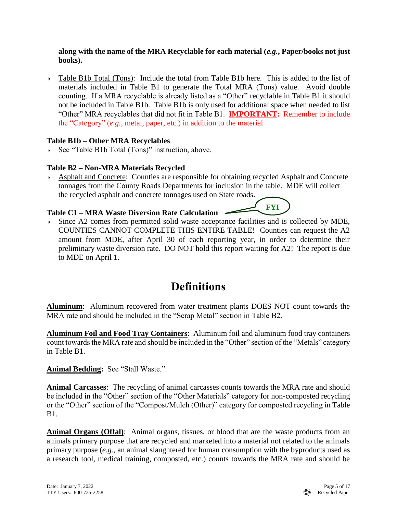#### **along with the name of the MRA Recyclable for each material (***e.g.***, Paper/books not just books).**

 Table B1b Total (Tons): Include the total from Table B1b here. This is added to the list of materials included in Table B1 to generate the Total MRA (Tons) value. Avoid double counting. If a MRA recyclable is already listed as a "Other" recyclable in Table B1 it should not be included in Table B1b. Table B1b is only used for additional space when needed to list "Other" MRA recyclables that did not fit in Table B1. **IMPORTANT:** Remember to include the "Category" (*e.g.*, metal, paper, etc.) in addition to the material.

### **Table B1b – Other MRA Recyclables**

See "Table B1b Total (Tons)" instruction, above.

## **Table B2 – Non-MRA Materials Recycled**

 Asphalt and Concrete: Counties are responsible for obtaining recycled Asphalt and Concrete tonnages from the County Roads Departments for inclusion in the table. MDE will collect the recycled asphalt and concrete tonnages used on State roads.

**FYI**

## **Table C1 – MRA Waste Diversion Rate Calculation**

 Since A2 comes from permitted solid waste acceptance facilities and is collected by MDE, COUNTIES CANNOT COMPLETE THIS ENTIRE TABLE! Counties can request the A2 amount from MDE, after April 30 of each reporting year, in order to determine their preliminary waste diversion rate. DO NOT hold this report waiting for A2! The report is due to MDE on April 1.

## **Definitions**

**Aluminum**: Aluminum recovered from water treatment plants DOES NOT count towards the MRA rate and should be included in the "Scrap Metal" section in Table B2.

**Aluminum Foil and Food Tray Containers**: Aluminum foil and aluminum food tray containers count towards the MRA rate and should be included in the "Other" section of the "Metals" category in Table B1.

**Animal Bedding:** See "Stall Waste."

**Animal Carcasses**: The recycling of animal carcasses counts towards the MRA rate and should be included in the "Other" section of the "Other Materials" category for non-composted recycling or the "Other" section of the "Compost/Mulch (Other)" category for composted recycling in Table B1.

Animal Organs (Offal): Animal organs, tissues, or blood that are the waste products from an animals primary purpose that are recycled and marketed into a material not related to the animals primary purpose (*e.g.*, an animal slaughtered for human consumption with the byproducts used as a research tool, medical training, composted, etc.) counts towards the MRA rate and should be

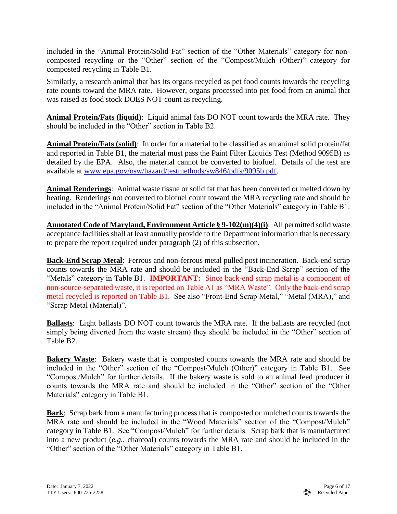included in the "Animal Protein/Solid Fat" section of the "Other Materials" category for noncomposted recycling or the "Other" section of the "Compost/Mulch (Other)" category for composted recycling in Table B1.

Similarly, a research animal that has its organs recycled as pet food counts towards the recycling rate counts toward the MRA rate. However, organs processed into pet food from an animal that was raised as food stock DOES NOT count as recycling.

**Animal Protein/Fats (liquid)**: Liquid animal fats DO NOT count towards the MRA rate. They should be included in the "Other" section in Table B2.

**Animal Protein/Fats (solid)**: In order for a material to be classified as an animal solid protein/fat and reported in Table B1, the material must pass the Paint Filter Liquids Test (Method 9095B) as detailed by the EPA. Also, the material cannot be converted to biofuel. Details of the test are available at [www.epa.gov/osw/hazard/testmethods/sw846/pdfs/9095b.pdf.](http://www.epa.gov/osw/hazard/testmethods/sw846/pdfs/9095b.pdf)

**Animal Renderings**: Animal waste tissue or solid fat that has been converted or melted down by heating. Renderings not converted to biofuel count toward the MRA recycling rate and should be included in the "Animal Protein/Solid Fat" section of the "Other Materials" category in Table B1.

**Annotated Code of Maryland, Environment Article § 9-102(m)(4)(i)**: All permitted solid waste acceptance facilities shall at least annually provide to the Department information that is necessary to prepare the report required under paragraph (2) of this subsection.

**Back-End Scrap Metal**: Ferrous and non-ferrous metal pulled post incineration. Back-end scrap counts towards the MRA rate and should be included in the "Back-End Scrap" section of the "Metals" category in Table B1. **IMPORTANT:** Since back-end scrap metal is a component of non-source-separated waste, it is reported on Table A1 as "MRA Waste". Only the back-end scrap metal recycled is reported on Table B1. See also "Front-End Scrap Metal," "Metal (MRA)," and "Scrap Metal (Material)".

**Ballasts**: Light ballasts DO NOT count towards the MRA rate. If the ballasts are recycled (not simply being diverted from the waste stream) they should be included in the "Other" section of Table B2.

**Bakery Waste**: Bakery waste that is composted counts towards the MRA rate and should be included in the "Other" section of the "Compost/Mulch (Other)" category in Table B1. See "Compost/Mulch" for further details. If the bakery waste is sold to an animal feed producer it counts towards the MRA rate and should be included in the "Other" section of the "Other Materials" category in Table B1.

**Bark**: Scrap bark from a manufacturing process that is composted or mulched counts towards the MRA rate and should be included in the "Wood Materials" section of the "Compost/Mulch" category in Table B1. See "Compost/Mulch" for further details. Scrap bark that is manufactured into a new product (*e.g.*, charcoal) counts towards the MRA rate and should be included in the "Other" section of the "Other Materials" category in Table B1.

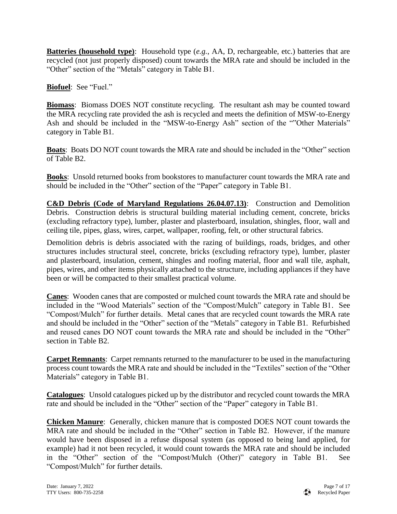**Batteries (household type)**: Household type (*e.g.*, AA, D, rechargeable, etc.) batteries that are recycled (not just properly disposed) count towards the MRA rate and should be included in the "Other" section of the "Metals" category in Table B1.

**Biofuel**: See "Fuel."

**Biomass**: Biomass DOES NOT constitute recycling. The resultant ash may be counted toward the MRA recycling rate provided the ash is recycled and meets the definition of MSW-to-Energy Ash and should be included in the "MSW-to-Energy Ash" section of the ""Other Materials" category in Table B1.

**Boats**: Boats DO NOT count towards the MRA rate and should be included in the "Other" section of Table B2.

**Books**:Unsold returned books from bookstores to manufacturer count towards the MRA rate and should be included in the "Other" section of the "Paper" category in Table B1.

**C&D Debris (Code of Maryland Regulations 26.04.07.13)**: Construction and Demolition Debris. Construction debris is structural building material including cement, concrete, bricks (excluding refractory type), lumber, plaster and plasterboard, insulation, shingles, floor, wall and ceiling tile, pipes, glass, wires, carpet, wallpaper, roofing, felt, or other structural fabrics.

Demolition debris is debris associated with the razing of buildings, roads, bridges, and other structures includes structural steel, concrete, bricks (excluding refractory type), lumber, plaster and plasterboard, insulation, cement, shingles and roofing material, floor and wall tile, asphalt, pipes, wires, and other items physically attached to the structure, including appliances if they have been or will be compacted to their smallest practical volume.

**Canes**: Wooden canes that are composted or mulched count towards the MRA rate and should be included in the "Wood Materials" section of the "Compost/Mulch" category in Table B1. See "Compost/Mulch" for further details. Metal canes that are recycled count towards the MRA rate and should be included in the "Other" section of the "Metals" category in Table B1. Refurbished and reused canes DO NOT count towards the MRA rate and should be included in the "Other" section in Table B2.

**Carpet Remnants**: Carpet remnants returned to the manufacturer to be used in the manufacturing process count towards the MRA rate and should be included in the "Textiles" section of the "Other Materials" category in Table B1.

**Catalogues**: Unsold catalogues picked up by the distributor and recycled count towards the MRA rate and should be included in the "Other" section of the "Paper" category in Table B1.

**Chicken Manure**: Generally, chicken manure that is composted DOES NOT count towards the MRA rate and should be included in the "Other" section in Table B2. However, if the manure would have been disposed in a refuse disposal system (as opposed to being land applied, for example) had it not been recycled, it would count towards the MRA rate and should be included in the "Other" section of the "Compost/Mulch (Other)" category in Table B1. See "Compost/Mulch" for further details.

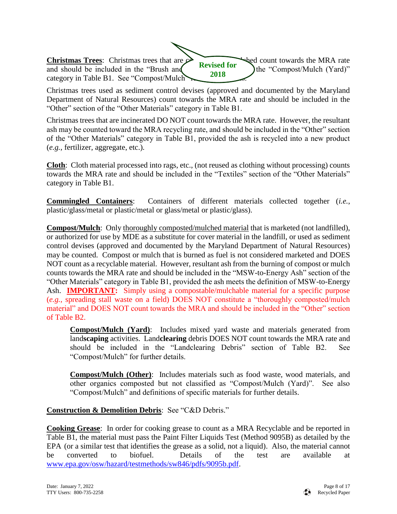**Christmas Trees**: Christmas trees that are  $\alpha$  **composited count towards the MRA rate** and should be included in the "Brush and  $\frac{R \text{ e}^{i} \text{ e}^{i}}{2 \text{ e}^{i} \text{ e}^{i} \text{ e}^{i}}$  the "Compost/Mulch (Yard)" category in Table B1. See "Compost/Mulch" **Revised for 2018**

Christmas trees used as sediment control devises (approved and documented by the Maryland Department of Natural Resources) count towards the MRA rate and should be included in the "Other" section of the "Other Materials" category in Table B1.

Christmas trees that are incinerated DO NOT count towards the MRA rate. However, the resultant ash may be counted toward the MRA recycling rate, and should be included in the "Other" section of the "Other Materials" category in Table B1, provided the ash is recycled into a new product (*e.g.*, fertilizer, aggregate, etc.).

**Cloth**: Cloth material processed into rags, etc., (not reused as clothing without processing) counts towards the MRA rate and should be included in the "Textiles" section of the "Other Materials" category in Table B1.

**Commingled Containers**: Containers of different materials collected together (*i.e.*, plastic/glass/metal or plastic/metal or glass/metal or plastic/glass).

**Compost/Mulch**: Only thoroughly composted/mulched material that is marketed (not landfilled), or authorized for use by MDE as a substitute for cover material in the landfill, or used as sediment control devises (approved and documented by the Maryland Department of Natural Resources) may be counted. Compost or mulch that is burned as fuel is not considered marketed and DOES NOT count as a recyclable material. However, resultant ash from the burning of compost or mulch counts towards the MRA rate and should be included in the "MSW-to-Energy Ash" section of the "Other Materials" category in Table B1, provided the ash meets the definition of MSW-to-Energy Ash. **IMPORTANT:** Simply using a compostable/mulchable material for a specific purpose (*e.g.*, spreading stall waste on a field) DOES NOT constitute a "thoroughly composted/mulch material" and DOES NOT count towards the MRA and should be included in the "Other" section of Table B2.

**Compost/Mulch (Yard)**: Includes mixed yard waste and materials generated from land**scaping** activities. Land**clearing** debris DOES NOT count towards the MRA rate and should be included in the "Landclearing Debris" section of Table B2. See "Compost/Mulch" for further details.

**Compost/Mulch (Other)**: Includes materials such as food waste, wood materials, and other organics composted but not classified as "Compost/Mulch (Yard)". See also "Compost/Mulch" and definitions of specific materials for further details.

### **Construction & Demolition Debris**: See "C&D Debris."

**Cooking Grease**: In order for cooking grease to count as a MRA Recyclable and be reported in Table B1, the material must pass the Paint Filter Liquids Test (Method 9095B) as detailed by the EPA (or a similar test that identifies the grease as a solid, not a liquid). Also, the material cannot be converted to biofuel. Details of the test are available at [www.epa.gov/osw/hazard/testmethods/sw846/pdfs/9095b.pdf.](http://www.epa.gov/osw/hazard/testmethods/sw846/pdfs/9095b.pdf)

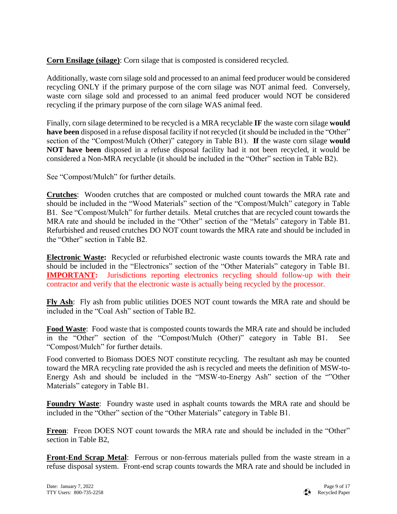**Corn Ensilage (silage)**: Corn silage that is composted is considered recycled.

Additionally, waste corn silage sold and processed to an animal feed producer would be considered recycling ONLY if the primary purpose of the corn silage was NOT animal feed. Conversely, waste corn silage sold and processed to an animal feed producer would NOT be considered recycling if the primary purpose of the corn silage WAS animal feed.

Finally, corn silage determined to be recycled is a MRA recyclable **IF** the waste corn silage **would have been** disposed in a refuse disposal facility if not recycled (it should be included in the "Other" section of the "Compost/Mulch (Other)" category in Table B1). **If** the waste corn silage **would NOT have been** disposed in a refuse disposal facility had it not been recycled, it would be considered a Non-MRA recyclable (it should be included in the "Other" section in Table B2).

See "Compost/Mulch" for further details.

**Crutches**: Wooden crutches that are composted or mulched count towards the MRA rate and should be included in the "Wood Materials" section of the "Compost/Mulch" category in Table B1. See "Compost/Mulch" for further details. Metal crutches that are recycled count towards the MRA rate and should be included in the "Other" section of the "Metals" category in Table B1. Refurbished and reused crutches DO NOT count towards the MRA rate and should be included in the "Other" section in Table B2.

**Electronic Waste:** Recycled or refurbished electronic waste counts towards the MRA rate and should be included in the "Electronics" section of the "Other Materials" category in Table B1. **IMPORTANT:** Jurisdictions reporting electronics recycling should follow-up with their contractor and verify that the electronic waste is actually being recycled by the processor.

**Fly Ash**: Fly ash from public utilities DOES NOT count towards the MRA rate and should be included in the "Coal Ash" section of Table B2.

**Food Waste**: Food waste that is composted counts towards the MRA rate and should be included in the "Other" section of the "Compost/Mulch (Other)" category in Table B1. See "Compost/Mulch" for further details.

Food converted to Biomass DOES NOT constitute recycling. The resultant ash may be counted toward the MRA recycling rate provided the ash is recycled and meets the definition of MSW-to-Energy Ash and should be included in the "MSW-to-Energy Ash" section of the ""Other Materials" category in Table B1.

**Foundry Waste**: Foundry waste used in asphalt counts towards the MRA rate and should be included in the "Other" section of the "Other Materials" category in Table B1.

**Freon**: Freon DOES NOT count towards the MRA rate and should be included in the "Other" section in Table B2,

**Front-End Scrap Metal**: Ferrous or non-ferrous materials pulled from the waste stream in a refuse disposal system. Front-end scrap counts towards the MRA rate and should be included in

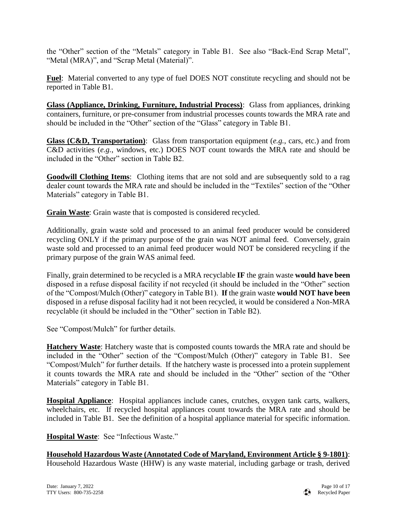the "Other" section of the "Metals" category in Table B1. See also "Back-End Scrap Metal", "Metal (MRA)", and "Scrap Metal (Material)".

**Fuel**: Material converted to any type of fuel DOES NOT constitute recycling and should not be reported in Table B1.

**Glass (Appliance, Drinking, Furniture, Industrial Process)**: Glass from appliances, drinking containers, furniture, or pre-consumer from industrial processes counts towards the MRA rate and should be included in the "Other" section of the "Glass" category in Table B1.

**Glass (C&D, Transportation)**: Glass from transportation equipment (*e.g.*, cars, etc.) and from C&D activities (*e.g.*, windows, etc.) DOES NOT count towards the MRA rate and should be included in the "Other" section in Table B2.

**Goodwill Clothing Items**: Clothing items that are not sold and are subsequently sold to a rag dealer count towards the MRA rate and should be included in the "Textiles" section of the "Other Materials" category in Table B1.

**Grain Waste**: Grain waste that is composted is considered recycled.

Additionally, grain waste sold and processed to an animal feed producer would be considered recycling ONLY if the primary purpose of the grain was NOT animal feed. Conversely, grain waste sold and processed to an animal feed producer would NOT be considered recycling if the primary purpose of the grain WAS animal feed.

Finally, grain determined to be recycled is a MRA recyclable **IF** the grain waste **would have been** disposed in a refuse disposal facility if not recycled (it should be included in the "Other" section of the "Compost/Mulch (Other)" category in Table B1). **If** the grain waste **would NOT have been** disposed in a refuse disposal facility had it not been recycled, it would be considered a Non-MRA recyclable (it should be included in the "Other" section in Table B2).

See "Compost/Mulch" for further details.

**Hatchery Waste**: Hatchery waste that is composted counts towards the MRA rate and should be included in the "Other" section of the "Compost/Mulch (Other)" category in Table B1. See "Compost/Mulch" for further details. If the hatchery waste is processed into a protein supplement it counts towards the MRA rate and should be included in the "Other" section of the "Other Materials" category in Table B1.

**Hospital Appliance**: Hospital appliances include canes, crutches, oxygen tank carts, walkers, wheelchairs, etc. If recycled hospital appliances count towards the MRA rate and should be included in Table B1. See the definition of a hospital appliance material for specific information.

**Hospital Waste**: See "Infectious Waste."

**Household Hazardous Waste (Annotated Code of Maryland, Environment Article § 9-1801)**: Household Hazardous Waste (HHW) is any waste material, including garbage or trash, derived

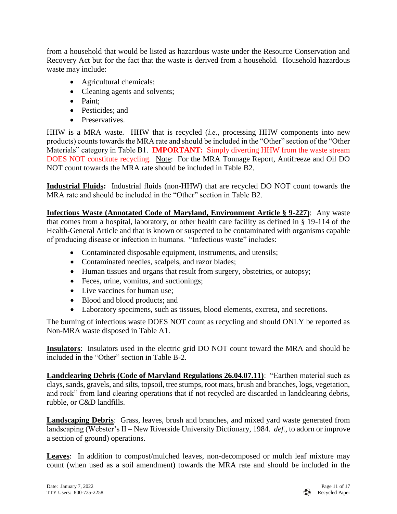from a household that would be listed as hazardous waste under the Resource Conservation and Recovery Act but for the fact that the waste is derived from a household. Household hazardous waste may include:

- Agricultural chemicals;
- Cleaning agents and solvents;
- Paint:
- Pesticides: and
- Preservatives.

HHW is a MRA waste. HHW that is recycled (*i.e.*, processing HHW components into new products) counts towards the MRA rate and should be included in the "Other" section of the "Other Materials" category in Table B1. **IMPORTANT:** Simply diverting HHW from the waste stream DOES NOT constitute recycling. Note: For the MRA Tonnage Report, Antifreeze and Oil DO NOT count towards the MRA rate should be included in Table B2.

**Industrial Fluids:** Industrial fluids (non-HHW) that are recycled DO NOT count towards the MRA rate and should be included in the "Other" section in Table B2.

**Infectious Waste (Annotated Code of Maryland, Environment Article § 9-227)**: Any waste that comes from a hospital, laboratory, or other health care facility as defined in § 19-114 of the Health-General Article and that is known or suspected to be contaminated with organisms capable of producing disease or infection in humans. "Infectious waste" includes:

- Contaminated disposable equipment, instruments, and utensils;
- Contaminated needles, scalpels, and razor blades;
- Human tissues and organs that result from surgery, obstetrics, or autopsy;
- Feces, urine, vomitus, and suctionings;
- Live vaccines for human use;
- Blood and blood products; and
- Laboratory specimens, such as tissues, blood elements, excreta, and secretions.

The burning of infectious waste DOES NOT count as recycling and should ONLY be reported as Non-MRA waste disposed in Table A1.

**Insulators**: Insulators used in the electric grid DO NOT count toward the MRA and should be included in the "Other" section in Table B-2.

**Landclearing Debris (Code of Maryland Regulations 26.04.07.11)**: "Earthen material such as clays, sands, gravels, and silts, topsoil, tree stumps, root mats, brush and branches, logs, vegetation, and rock" from land clearing operations that if not recycled are discarded in landclearing debris, rubble, or C&D landfills.

**Landscaping Debris**: Grass, leaves, brush and branches, and mixed yard waste generated from landscaping (Webster's II – New Riverside University Dictionary, 1984. *def.*, to adorn or improve a section of ground) operations.

**Leaves**:In addition to compost/mulched leaves, non-decomposed or mulch leaf mixture may count (when used as a soil amendment) towards the MRA rate and should be included in the

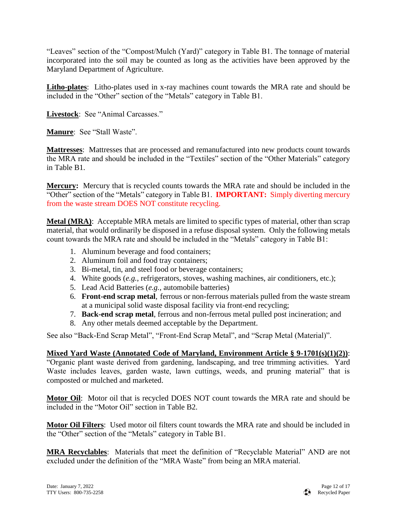"Leaves" section of the "Compost/Mulch (Yard)" category in Table B1. The tonnage of material incorporated into the soil may be counted as long as the activities have been approved by the Maryland Department of Agriculture.

**Litho-plates**: Litho-plates used in x-ray machines count towards the MRA rate and should be included in the "Other" section of the "Metals" category in Table B1.

**Livestock**: See "Animal Carcasses."

**Manure**: See "Stall Waste".

**Mattresses**: Mattresses that are processed and remanufactured into new products count towards the MRA rate and should be included in the "Textiles" section of the "Other Materials" category in Table B1.

**Mercury:** Mercury that is recycled counts towards the MRA rate and should be included in the "Other" section of the "Metals" category in Table B1. **IMPORTANT:** Simply diverting mercury from the waste stream DOES NOT constitute recycling.

**Metal (MRA)**: Acceptable MRA metals are limited to specific types of material, other than scrap material, that would ordinarily be disposed in a refuse disposal system. Only the following metals count towards the MRA rate and should be included in the "Metals" category in Table B1:

- 1. Aluminum beverage and food containers;
- 2. Aluminum foil and food tray containers;
- 3. Bi-metal, tin, and steel food or beverage containers;
- 4. White goods (*e.g.*, refrigerators, stoves, washing machines, air conditioners, etc.);
- 5. Lead Acid Batteries (*e.g.*, automobile batteries)
- 6. **Front-end scrap metal**, ferrous or non-ferrous materials pulled from the waste stream at a municipal solid waste disposal facility via front-end recycling;
- 7. **Back-end scrap metal**, ferrous and non-ferrous metal pulled post incineration; and
- 8. Any other metals deemed acceptable by the Department.

See also "Back-End Scrap Metal", "Front-End Scrap Metal", and "Scrap Metal (Material)".

## **Mixed Yard Waste (Annotated Code of Maryland, Environment Article § 9-1701(s)(1)(2))**:

"Organic plant waste derived from gardening, landscaping, and tree trimming activities. Yard Waste includes leaves, garden waste, lawn cuttings, weeds, and pruning material" that is composted or mulched and marketed.

**Motor Oil**: Motor oil that is recycled DOES NOT count towards the MRA rate and should be included in the "Motor Oil" section in Table B2.

**Motor Oil Filters**: Used motor oil filters count towards the MRA rate and should be included in the "Other" section of the "Metals" category in Table B1.

**MRA Recyclables**: Materials that meet the definition of "Recyclable Material" AND are not excluded under the definition of the "MRA Waste" from being an MRA material.

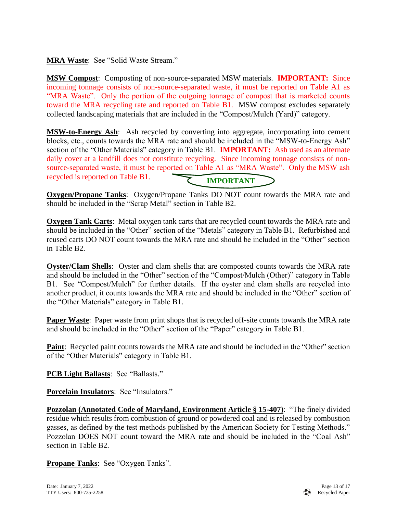**MRA Waste**: See "Solid Waste Stream."

**MSW Compost**: Composting of non-source-separated MSW materials. **IMPORTANT:** Since incoming tonnage consists of non-source-separated waste, it must be reported on Table A1 as "MRA Waste". Only the portion of the outgoing tonnage of compost that is marketed counts toward the MRA recycling rate and reported on Table B1. MSW compost excludes separately collected landscaping materials that are included in the "Compost/Mulch (Yard)" category.

**MSW-to-Energy Ash**: Ash recycled by converting into aggregate, incorporating into cement blocks, etc., counts towards the MRA rate and should be included in the "MSW-to-Energy Ash" section of the "Other Materials" category in Table B1. **IMPORTANT:** Ash used as an alternate daily cover at a landfill does not constitute recycling. Since incoming tonnage consists of nonsource-separated waste, it must be reported on Table A1 as "MRA Waste". Only the MSW ash recycled is reported on Table B1. **IMPORTANT**

**Oxygen/Propane Tanks**: Oxygen/Propane Tanks DO NOT count towards the MRA rate and should be included in the "Scrap Metal" section in Table B2.

**Oxygen Tank Carts**: Metal oxygen tank carts that are recycled count towards the MRA rate and should be included in the "Other" section of the "Metals" category in Table B1. Refurbished and reused carts DO NOT count towards the MRA rate and should be included in the "Other" section in Table B2.

**Oyster/Clam Shells**: Oyster and clam shells that are composted counts towards the MRA rate and should be included in the "Other" section of the "Compost/Mulch (Other)" category in Table B1. See "Compost/Mulch" for further details. If the oyster and clam shells are recycled into another product, it counts towards the MRA rate and should be included in the "Other" section of the "Other Materials" category in Table B1.

**Paper Waste**: Paper waste from print shops that is recycled off-site counts towards the MRA rate and should be included in the "Other" section of the "Paper" category in Table B1.

**Paint**: Recycled paint counts towards the MRA rate and should be included in the "Other" section of the "Other Materials" category in Table B1.

**PCB Light Ballasts**: See "Ballasts."

**Porcelain Insulators**: See "Insulators."

**Pozzolan (Annotated Code of Maryland, Environment Article § 15-407)**: "The finely divided residue which results from combustion of ground or powdered coal and is released by combustion gasses, as defined by the test methods published by the American Society for Testing Methods." Pozzolan DOES NOT count toward the MRA rate and should be included in the "Coal Ash" section in Table B2.

**Propane Tanks**: See "Oxygen Tanks".

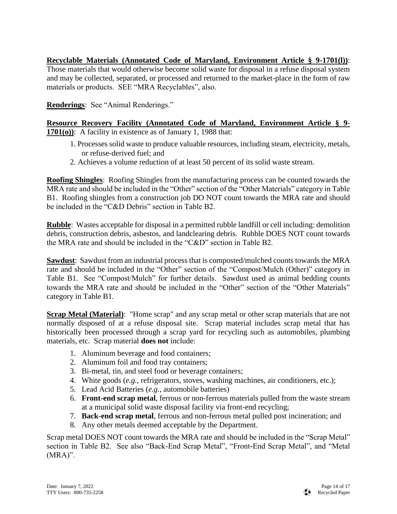## **Recyclable Materials (Annotated Code of Maryland, Environment Article § 9-1701(l))**:

Those materials that would otherwise become solid waste for disposal in a refuse disposal system and may be collected, separated, or processed and returned to the market-place in the form of raw materials or products. SEE "MRA Recyclables", also.

**Renderings**: See "Animal Renderings."

## **Resource Recovery Facility (Annotated Code of Maryland, Environment Article § 9- 1701(o))**: A facility in existence as of January 1, 1988 that:

- 1. Processes solid waste to produce valuable resources, including steam, electricity, metals, or refuse-derived fuel; and
- 2. Achieves a volume reduction of at least 50 percent of its solid waste stream.

**Roofing Shingles**: Roofing Shingles from the manufacturing process can be counted towards the MRA rate and should be included in the "Other" section of the "Other Materials" category in Table B1. Roofing shingles from a construction job DO NOT count towards the MRA rate and should be included in the "C&D Debris" section in Table B2.

**Rubble**: Wastes acceptable for disposal in a permitted rubble landfill or cell including: demolition debris, construction debris, asbestos, and landclearing debris. Rubble DOES NOT count towards the MRA rate and should be included in the "C&D" section in Table B2.

**Sawdust**: Sawdust from an industrial process that is composted/mulched counts towards the MRA rate and should be included in the "Other" section of the "Compost/Mulch (Other)" category in Table B1. See "Compost/Mulch" for further details. Sawdust used as animal bedding counts towards the MRA rate and should be included in the "Other" section of the "Other Materials" category in Table B1.

**Scrap Metal (Material)**: "Home scrap" and any scrap metal or other scrap materials that are not normally disposed of at a refuse disposal site. Scrap material includes scrap metal that has historically been processed through a scrap yard for recycling such as automobiles, plumbing materials, etc. Scrap material **does not** include:

- 1. Aluminum beverage and food containers;
- 2. Aluminum foil and food tray containers;
- 3. Bi-metal, tin, and steel food or beverage containers;
- 4. White goods (*e.g.*, refrigerators, stoves, washing machines, air conditioners, etc.);
- 5. Lead Acid Batteries (*e.g.*, automobile batteries)
- 6. **Front-end scrap metal**, ferrous or non-ferrous materials pulled from the waste stream at a municipal solid waste disposal facility via front-end recycling;
- 7. **Back-end scrap metal**, ferrous and non-ferrous metal pulled post incineration; and
- 8. Any other metals deemed acceptable by the Department.

Scrap metal DOES NOT count towards the MRA rate and should be included in the "Scrap Metal" section in Table B2. See also "Back-End Scrap Metal", "Front-End Scrap Metal", and "Metal  $(MRA)$ ".

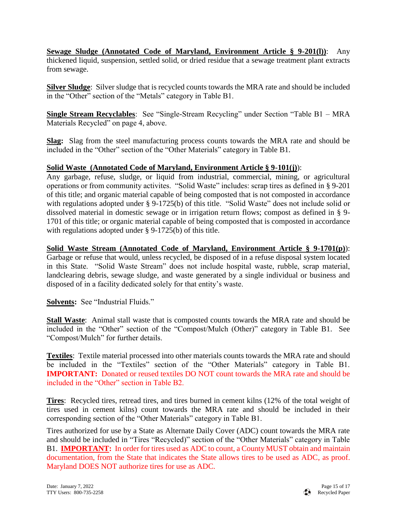**Sewage Sludge (Annotated Code of Maryland, Environment Article § 9-201(l))**: Any thickened liquid, suspension, settled solid, or dried residue that a sewage treatment plant extracts from sewage.

**Silver Sludge**: Silver sludge that is recycled counts towards the MRA rate and should be included in the "Other" section of the "Metals" category in Table B1.

**Single Stream Recyclables**: See "Single-Stream Recycling" under Section "Table B1 – MRA Materials Recycled" on page 4, above.

**Slag:** Slag from the steel manufacturing process counts towards the MRA rate and should be included in the "Other" section of the "Other Materials" category in Table B1.

## **Solid Waste (Annotated Code of Maryland, Environment Article § 9-101(j)**):

Any garbage, refuse, sludge, or liquid from industrial, commercial, mining, or agricultural operations or from community activites. "Solid Waste" includes: scrap tires as defined in § 9-201 of this title; and organic material capable of being composted that is not composted in accordance with regulations adopted under § 9-1725(b) of this title. "Solid Waste" does not include solid or dissolved material in domestic sewage or in irrigation return flows; compost as defined in § 9- 1701 of this title; or organic material capable of being composted that is composted in accordance with regulations adopted under § 9-1725(b) of this title.

### **Solid Waste Stream (Annotated Code of Maryland, Environment Article § 9-1701(p)**):

Garbage or refuse that would, unless recycled, be disposed of in a refuse disposal system located in this State. "Solid Waste Stream" does not include hospital waste, rubble, scrap material, landclearing debris, sewage sludge, and waste generated by a single individual or business and disposed of in a facility dedicated solely for that entity's waste.

**Solvents:** See "Industrial Fluids."

**Stall Waste**: Animal stall waste that is composted counts towards the MRA rate and should be included in the "Other" section of the "Compost/Mulch (Other)" category in Table B1. See "Compost/Mulch" for further details.

**Textiles**: Textile material processed into other materials counts towards the MRA rate and should be included in the "Textiles" section of the "Other Materials" category in Table B1. **IMPORTANT:** Donated or reused textiles DO NOT count towards the MRA rate and should be included in the "Other" section in Table B2.

**Tires**: Recycled tires, retread tires, and tires burned in cement kilns (12% of the total weight of tires used in cement kilns) count towards the MRA rate and should be included in their corresponding section of the "Other Materials" category in Table B1.

Tires authorized for use by a State as Alternate Daily Cover (ADC) count towards the MRA rate and should be included in "Tires "Recycled)" section of the "Other Materials" category in Table B1. **IMPORTANT:** In order for tires used as ADC to count, a County MUST obtain and maintain documentation, from the State that indicates the State allows tires to be used as ADC, as proof. Maryland DOES NOT authorize tires for use as ADC.

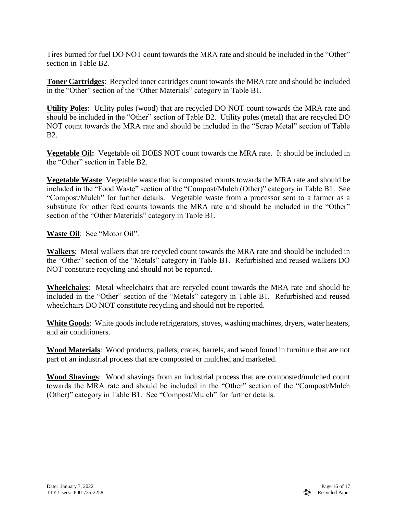Tires burned for fuel DO NOT count towards the MRA rate and should be included in the "Other" section in Table B2.

**Toner Cartridges**: Recycled toner cartridges count towards the MRA rate and should be included in the "Other" section of the "Other Materials" category in Table B1.

**Utility Poles**: Utility poles (wood) that are recycled DO NOT count towards the MRA rate and should be included in the "Other" section of Table B2. Utility poles (metal) that are recycled DO NOT count towards the MRA rate and should be included in the "Scrap Metal" section of Table B2.

**Vegetable Oil:** Vegetable oil DOES NOT count towards the MRA rate. It should be included in the "Other" section in Table B2.

**Vegetable Waste**: Vegetable waste that is composted counts towards the MRA rate and should be included in the "Food Waste" section of the "Compost/Mulch (Other)" category in Table B1. See "Compost/Mulch" for further details. Vegetable waste from a processor sent to a farmer as a substitute for other feed counts towards the MRA rate and should be included in the "Other" section of the "Other Materials" category in Table B1.

**Waste Oil**: See "Motor Oil".

**Walkers**: Metal walkers that are recycled count towards the MRA rate and should be included in the "Other" section of the "Metals" category in Table B1. Refurbished and reused walkers DO NOT constitute recycling and should not be reported.

**Wheelchairs**: Metal wheelchairs that are recycled count towards the MRA rate and should be included in the "Other" section of the "Metals" category in Table B1. Refurbished and reused wheelchairs DO NOT constitute recycling and should not be reported.

**White Goods**: White goods include refrigerators, stoves, washing machines, dryers, water heaters, and air conditioners.

**Wood Materials**: Wood products, pallets, crates, barrels, and wood found in furniture that are not part of an industrial process that are composted or mulched and marketed.

**Wood Shavings**: Wood shavings from an industrial process that are composted/mulched count towards the MRA rate and should be included in the "Other" section of the "Compost/Mulch (Other)" category in Table B1. See "Compost/Mulch" for further details.